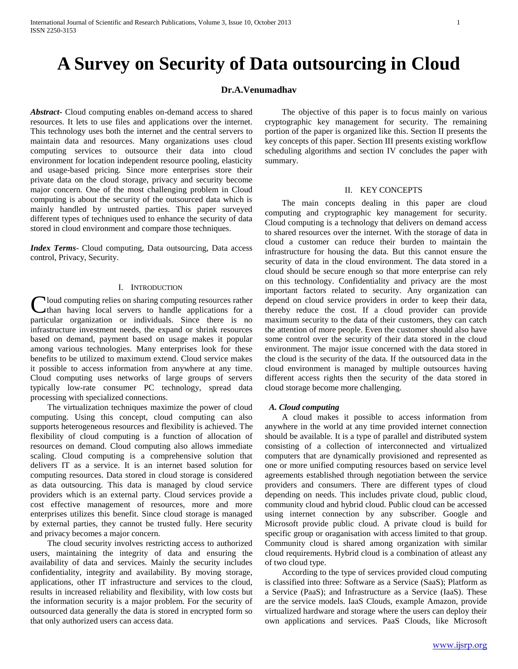# **A Survey on Security of Data outsourcing in Cloud**

# **Dr.A.Venumadhav**

*Abstract***-** Cloud computing enables on-demand access to shared resources. It lets to use files and applications over the internet. This technology uses both the internet and the central servers to maintain data and resources. Many organizations uses cloud computing services to outsource their data into cloud environment for location independent resource pooling, elasticity and usage-based pricing. Since more enterprises store their private data on the cloud storage, privacy and security become major concern. One of the most challenging problem in Cloud computing is about the security of the outsourced data which is mainly handled by untrusted parties. This paper surveyed different types of techniques used to enhance the security of data stored in cloud environment and compare those techniques.

*Index Terms*- Cloud computing, Data outsourcing, Data access control, Privacy, Security.

## I. INTRODUCTION

Cloud computing relies on sharing computing resources rather<br>than having local servers to handle applications for a than having local servers to handle applications for a particular organization or individuals. Since there is no infrastructure investment needs, the expand or shrink resources based on demand, payment based on usage makes it popular among various technologies. Many enterprises look for these benefits to be utilized to maximum extend. Cloud service makes it possible to access information from anywhere at any time. Cloud computing uses networks of large groups of servers typically low-rate consumer PC technology, spread data processing with specialized connections.

 The virtualization techniques maximize the power of cloud computing. Using this concept, cloud computing can also supports heterogeneous resources and flexibility is achieved. The flexibility of cloud computing is a function of allocation of resources on demand. Cloud computing also allows immediate scaling. Cloud computing is a comprehensive solution that delivers IT as a service. It is an internet based solution for computing resources. Data stored in cloud storage is considered as data outsourcing. This data is managed by cloud service providers which is an external party. Cloud services provide a cost effective management of resources, more and more enterprises utilizes this benefit. Since cloud storage is managed by external parties, they cannot be trusted fully. Here security and privacy becomes a major concern.

 The cloud security involves restricting access to authorized users, maintaining the integrity of data and ensuring the availability of data and services. Mainly the security includes confidentiality, integrity and availability. By moving storage, applications, other IT infrastructure and services to the cloud, results in increased reliability and flexibility, with low costs but the information security is a major problem. For the security of outsourced data generally the data is stored in encrypted form so that only authorized users can access data.

 The objective of this paper is to focus mainly on various cryptographic key management for security. The remaining portion of the paper is organized like this. Section II presents the key concepts of this paper. Section III presents existing workflow scheduling algorithms and section IV concludes the paper with summary.

# II. KEY CONCEPTS

 The main concepts dealing in this paper are cloud computing and cryptographic key management for security. Cloud computing is a technology that delivers on demand access to shared resources over the internet. With the storage of data in cloud a customer can reduce their burden to maintain the infrastructure for housing the data. But this cannot ensure the security of data in the cloud environment. The data stored in a cloud should be secure enough so that more enterprise can rely on this technology. Confidentiality and privacy are the most important factors related to security. Any organization can depend on cloud service providers in order to keep their data, thereby reduce the cost. If a cloud provider can provide maximum security to the data of their customers, they can catch the attention of more people. Even the customer should also have some control over the security of their data stored in the cloud environment. The major issue concerned with the data stored in the cloud is the security of the data. If the outsourced data in the cloud environment is managed by multiple outsources having different access rights then the security of the data stored in cloud storage become more challenging.

# *A. Cloud computing*

 A cloud makes it possible to access information from anywhere in the world at any time provided internet connection should be available. It is a type of parallel and distributed system consisting of a collection of interconnected and virtualized computers that are dynamically provisioned and represented as one or more unified computing resources based on service level agreements established through negotiation between the service providers and consumers. There are different types of cloud depending on needs. This includes private cloud, public cloud, community cloud and hybrid cloud. Public cloud can be accessed using internet connection by any subscriber. Google and Microsoft provide public cloud. A private cloud is build for specific group or oraganisation with access limited to that group. Community cloud is shared among organization with similar cloud requirements. Hybrid cloud is a combination of atleast any of two cloud type.

 According to the type of services provided cloud computing is classified into three: Software as a Service (SaaS); Platform as a Service (PaaS); and Infrastructure as a Service (IaaS). These are the service models. IaaS Clouds, example Amazon, provide virtualized hardware and storage where the users can deploy their own applications and services. PaaS Clouds, like Microsoft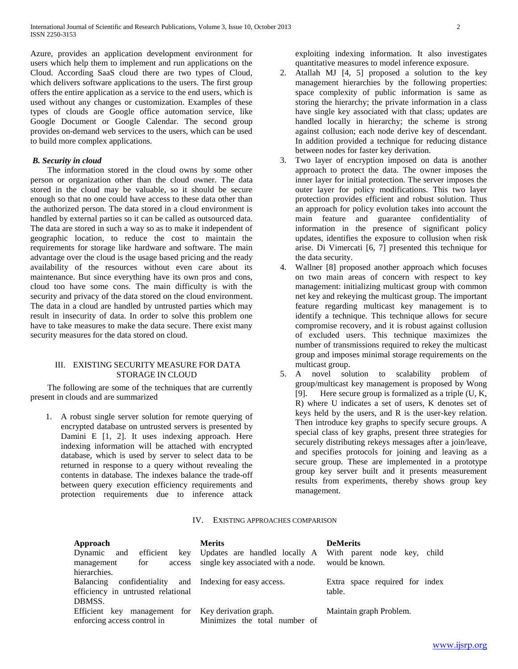Azure, provides an application development environment for users which help them to implement and run applications on the Cloud. According SaaS cloud there are two types of Cloud, which delivers software applications to the users. The first group offers the entire application as a service to the end users, which is used without any changes or customization. Examples of these types of clouds are Google office automation service, like Google Document or Google Calendar. The second group provides on-demand web services to the users, which can be used to build more complex applications.

# *B. Security in cloud*

 The information stored in the cloud owns by some other person or organization other than the cloud owner. The data stored in the cloud may be valuable, so it should be secure enough so that no one could have access to these data other than the authorized person. The data stored in a cloud environment is handled by external parties so it can be called as outsourced data. The data are stored in such a way so as to make it independent of geographic location, to reduce the cost to maintain the requirements for storage like hardware and software. The main advantage over the cloud is the usage based pricing and the ready availability of the resources without even care about its maintenance. But since everything have its own pros and cons, cloud too have some cons. The main difficulty is with the security and privacy of the data stored on the cloud environment. The data in a cloud are handled by untrusted parties which may result in insecurity of data. In order to solve this problem one have to take measures to make the data secure. There exist many security measures for the data stored on cloud.

# III. EXISTING SECURITY MEASURE FOR DATA STORAGE IN CLOUD

 The following are some of the techniques that are currently present in clouds and are summarized

1. A robust single server solution for remote querying of encrypted database on untrusted servers is presented by Damini E [1, 2]. It uses indexing approach. Here indexing information will be attached with encrypted database, which is used by server to select data to be returned in response to a query without revealing the contents in database. The indexes balance the trade-off between query execution efficiency requirements and protection requirements due to inference attack exploiting indexing information. It also investigates quantitative measures to model inference exposure.

- 2. Atallah MJ [4, 5] proposed a solution to the key management hierarchies by the following properties: space complexity of public information is same as storing the hierarchy; the private information in a class have single key associated with that class; updates are handled locally in hierarchy; the scheme is strong against collusion; each node derive key of descendant. In addition provided a technique for reducing distance between nodes for faster key derivation.
- 3. Two layer of encryption imposed on data is another approach to protect the data. The owner imposes the inner layer for initial protection. The server imposes the outer layer for policy modifications. This two layer protection provides efficient and robust solution. Thus an approach for policy evolution takes into account the main feature and guarantee confidentiality of information in the presence of significant policy updates, identifies the exposure to collusion when risk arise. Di Vimercati [6, 7] presented this technique for the data security.
- 4. Wallner [8] proposed another approach which focuses on two main areas of concern with respect to key management: initializing multicast group with common net key and rekeying the multicast group. The important feature regarding multicast key management is to identify a technique. This technique allows for secure compromise recovery, and it is robust against collusion of excluded users. This technique maximizes the number of transmissions required to rekey the multicast group and imposes minimal storage requirements on the multicast group.
- 5. A novel solution to scalability problem of group/multicast key management is proposed by Wong [9]. Here secure group is formalized as a triple (U, K, R) where U indicates a set of users, K denotes set of keys held by the users, and R is the user-key relation. Then introduce key graphs to specify secure groups. A special class of key graphs, present three strategies for securely distributing rekeys messages after a join/leave, and specifies protocols for joining and leaving as a secure group. These are implemented in a prototype group key server built and it presents measurement results from experiments, thereby shows group key management.

# IV. EXISTING APPROACHES COMPARISON

| Approach<br>Dynamic and efficient key Updates are handled locally A<br>management<br>for<br>access                      | <b>Merits</b><br>single key associated with a node. would be known. | <b>DeMerits</b><br>With parent node key, child |
|-------------------------------------------------------------------------------------------------------------------------|---------------------------------------------------------------------|------------------------------------------------|
| hierarchies.<br>Balancing confidentiality and Indexing for easy access.<br>efficiency in untrusted relational<br>DBMSS. |                                                                     | Extra space required for index<br>table.       |
| Efficient key management for Key derivation graph.<br>enforcing access control in                                       | Minimizes the total number of                                       | Maintain graph Problem.                        |